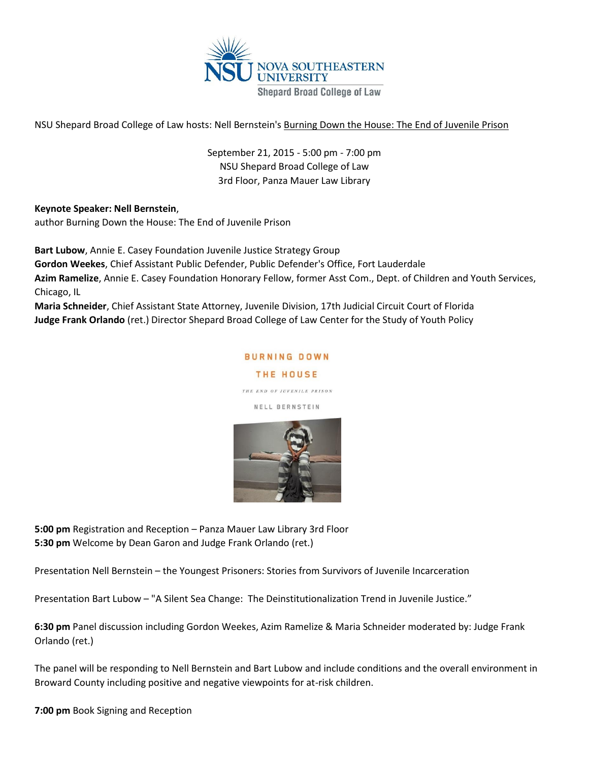

NSU Shepard Broad College of Law hosts: Nell Bernstein's Burning Down the House: The End of Juvenile Prison

September 21, 2015 - 5:00 pm - 7:00 pm NSU Shepard Broad College of Law 3rd Floor, Panza Mauer Law Library

## **Keynote Speaker: Nell Bernstein**,

author Burning Down the House: The End of Juvenile Prison

**Bart Lubow**, Annie E. Casey Foundation Juvenile Justice Strategy Group

**Gordon Weekes**, Chief Assistant Public Defender, Public Defender's Office, Fort Lauderdale

**Azim Ramelize**, Annie E. Casey Foundation Honorary Fellow, former Asst Com., Dept. of Children and Youth Services, Chicago, IL

**Maria Schneider**, Chief Assistant State Attorney, Juvenile Division, 17th Judicial Circuit Court of Florida **Judge Frank Orlando** (ret.) Director Shepard Broad College of Law Center for the Study of Youth Policy

## **BURNING DOWN**

THE HOUSE

THE END OF JUVENILE PRISON

NELL BERNSTEIN



**5:00 pm** Registration and Reception – Panza Mauer Law Library 3rd Floor **5:30 pm** Welcome by Dean Garon and Judge Frank Orlando (ret.)

Presentation Nell Bernstein – the Youngest Prisoners: Stories from Survivors of Juvenile Incarceration

Presentation Bart Lubow – "A Silent Sea Change: The Deinstitutionalization Trend in Juvenile Justice."

**6:30 pm** Panel discussion including Gordon Weekes, Azim Ramelize & Maria Schneider moderated by: Judge Frank Orlando (ret.)

The panel will be responding to Nell Bernstein and Bart Lubow and include conditions and the overall environment in Broward County including positive and negative viewpoints for at-risk children.

**7:00 pm** Book Signing and Reception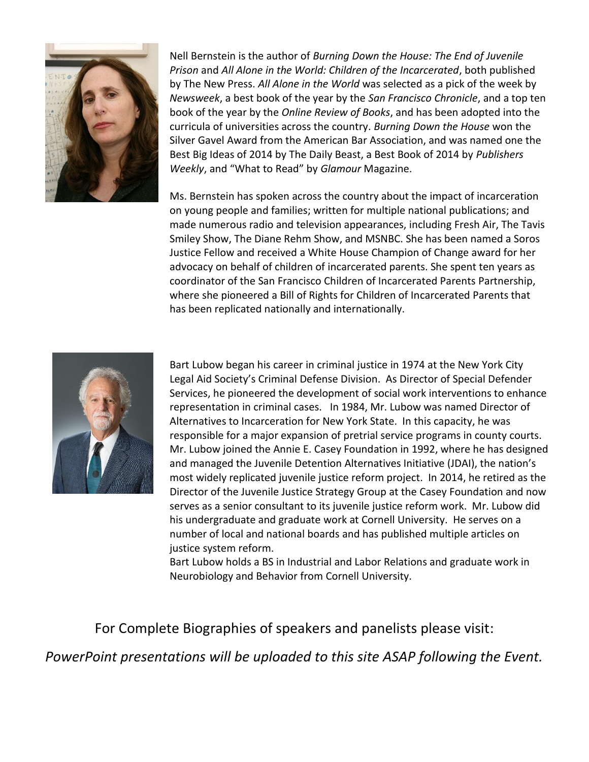

Nell Bernstein is the author of *Burning Down the House: The End of Juvenile Prison* and *All Alone in the World: Children of the Incarcerated*, both published by The New Press. *All Alone in the World* was selected as a pick of the week by *Newsweek*, a best book of the year by the *San Francisco Chronicle*, and a top ten book of the year by the *Online Review of Books*, and has been adopted into the curricula of universities across the country. *Burning Down the House* won the Silver Gavel Award from the American Bar Association, and was named one the Best Big Ideas of 2014 by The Daily Beast, a Best Book of 2014 by *Publishers Weekly*, and "What to Read" by *Glamour* Magazine.

Ms. Bernstein has spoken across the country about the impact of incarceration on young people and families; written for multiple national publications; and made numerous radio and television appearances, including Fresh Air, The Tavis Smiley Show, The Diane Rehm Show, and MSNBC. She has been named a Soros Justice Fellow and received a White House Champion of Change award for her advocacy on behalf of children of incarcerated parents. She spent ten years as coordinator of the San Francisco Children of Incarcerated Parents Partnership, where she pioneered a Bill of Rights for Children of Incarcerated Parents that has been replicated nationally and internationally.



Bart Lubow began his career in criminal justice in 1974 at the New York City Legal Aid Society's Criminal Defense Division. As Director of Special Defender Services, he pioneered the development of social work interventions to enhance representation in criminal cases. In 1984, Mr. Lubow was named Director of Alternatives to Incarceration for New York State. In this capacity, he was responsible for a major expansion of pretrial service programs in county courts. Mr. Lubow joined the Annie E. Casey Foundation in 1992, where he has designed and managed the Juvenile Detention Alternatives Initiative (JDAI), the nation's most widely replicated juvenile justice reform project. In 2014, he retired as the Director of the Juvenile Justice Strategy Group at the Casey Foundation and now serves as a senior consultant to its juvenile justice reform work. Mr. Lubow did his undergraduate and graduate work at Cornell University. He serves on a number of local and national boards and has published multiple articles on justice system reform.

Bart Lubow holds a BS in Industrial and Labor Relations and graduate work in Neurobiology and Behavior from Cornell University.

## For Complete Biographies of speakers and panelists please visit:

*PowerPoint presentations will be uploaded to this site ASAP following the Event.*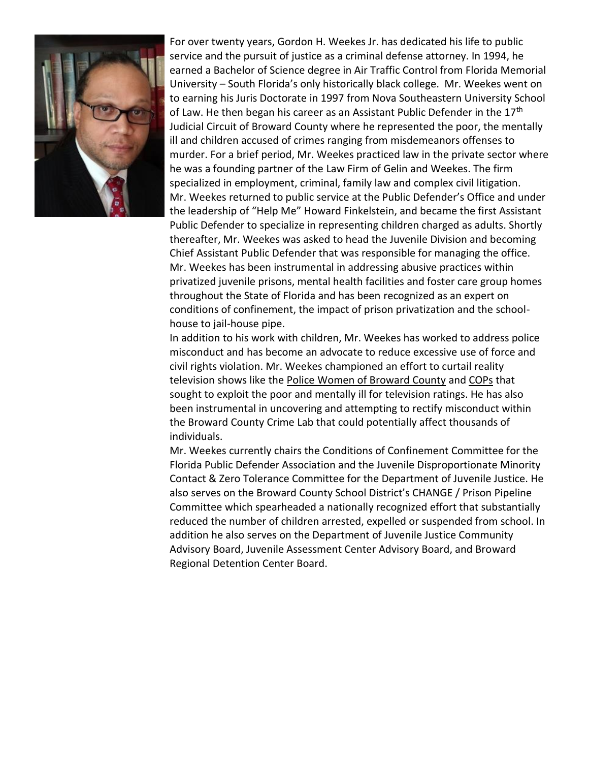

For over twenty years, Gordon H. Weekes Jr. has dedicated his life to public service and the pursuit of justice as a criminal defense attorney. In 1994, he earned a Bachelor of Science degree in Air Traffic Control from Florida Memorial University – South Florida's only historically black college. Mr. Weekes went on to earning his Juris Doctorate in 1997 from Nova Southeastern University School of Law. He then began his career as an Assistant Public Defender in the 17<sup>th</sup> Judicial Circuit of Broward County where he represented the poor, the mentally ill and children accused of crimes ranging from misdemeanors offenses to murder. For a brief period, Mr. Weekes practiced law in the private sector where he was a founding partner of the Law Firm of Gelin and Weekes. The firm specialized in employment, criminal, family law and complex civil litigation. Mr. Weekes returned to public service at the Public Defender's Office and under the leadership of "Help Me" Howard Finkelstein, and became the first Assistant Public Defender to specialize in representing children charged as adults. Shortly thereafter, Mr. Weekes was asked to head the Juvenile Division and becoming Chief Assistant Public Defender that was responsible for managing the office. Mr. Weekes has been instrumental in addressing abusive practices within privatized juvenile prisons, mental health facilities and foster care group homes throughout the State of Florida and has been recognized as an expert on conditions of confinement, the impact of prison privatization and the schoolhouse to jail-house pipe.

In addition to his work with children, Mr. Weekes has worked to address police misconduct and has become an advocate to reduce excessive use of force and civil rights violation. Mr. Weekes championed an effort to curtail reality television shows like the Police Women of Broward County and COPs that sought to exploit the poor and mentally ill for television ratings. He has also been instrumental in uncovering and attempting to rectify misconduct within the Broward County Crime Lab that could potentially affect thousands of individuals.

Mr. Weekes currently chairs the Conditions of Confinement Committee for the Florida Public Defender Association and the Juvenile Disproportionate Minority Contact & Zero Tolerance Committee for the Department of Juvenile Justice. He also serves on the Broward County School District's CHANGE / Prison Pipeline Committee which spearheaded a nationally recognized effort that substantially reduced the number of children arrested, expelled or suspended from school. In addition he also serves on the Department of Juvenile Justice Community Advisory Board, Juvenile Assessment Center Advisory Board, and Broward Regional Detention Center Board.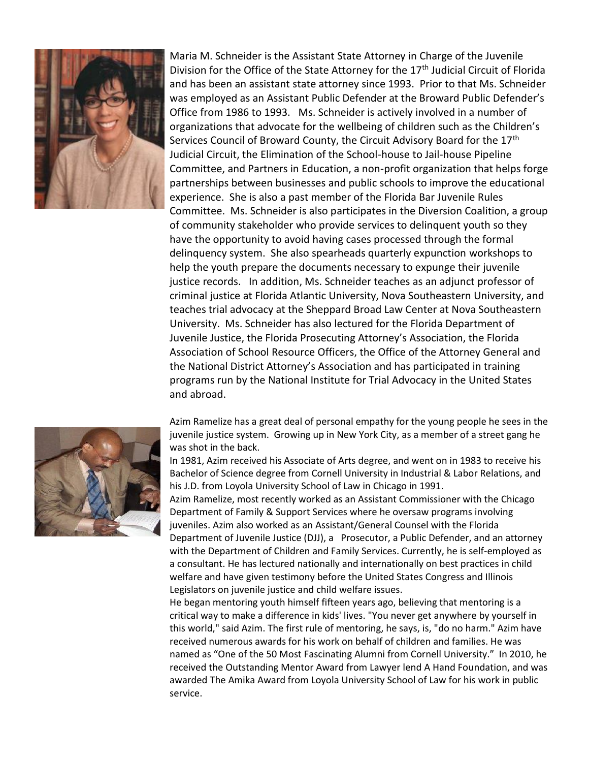

Maria M. Schneider is the Assistant State Attorney in Charge of the Juvenile Division for the Office of the State Attorney for the 17<sup>th</sup> Judicial Circuit of Florida and has been an assistant state attorney since 1993. Prior to that Ms. Schneider was employed as an Assistant Public Defender at the Broward Public Defender's Office from 1986 to 1993. Ms. Schneider is actively involved in a number of organizations that advocate for the wellbeing of children such as the Children's Services Council of Broward County, the Circuit Advisory Board for the 17<sup>th</sup> Judicial Circuit, the Elimination of the School-house to Jail-house Pipeline Committee, and Partners in Education, a non-profit organization that helps forge partnerships between businesses and public schools to improve the educational experience. She is also a past member of the Florida Bar Juvenile Rules Committee. Ms. Schneider is also participates in the Diversion Coalition, a group of community stakeholder who provide services to delinquent youth so they have the opportunity to avoid having cases processed through the formal delinquency system. She also spearheads quarterly expunction workshops to help the youth prepare the documents necessary to expunge their juvenile justice records. In addition, Ms. Schneider teaches as an adjunct professor of criminal justice at Florida Atlantic University, Nova Southeastern University, and teaches trial advocacy at the Sheppard Broad Law Center at Nova Southeastern University. Ms. Schneider has also lectured for the Florida Department of Juvenile Justice, the Florida Prosecuting Attorney's Association, the Florida Association of School Resource Officers, the Office of the Attorney General and the National District Attorney's Association and has participated in training programs run by the National Institute for Trial Advocacy in the United States and abroad.



Azim Ramelize has a great deal of personal empathy for the young people he sees in the juvenile justice system. Growing up in New York City, as a member of a street gang he was shot in the back.

In 1981, Azim received his Associate of Arts degree, and went on in 1983 to receive his Bachelor of Science degree from Cornell University in Industrial & Labor Relations, and his J.D. from Loyola University School of Law in Chicago in 1991.

Azim Ramelize, most recently worked as an Assistant Commissioner with the Chicago Department of Family & Support Services where he oversaw programs involving juveniles. Azim also worked as an Assistant/General Counsel with the Florida Department of Juvenile Justice (DJJ), a Prosecutor, a Public Defender, and an attorney with the Department of Children and Family Services. Currently, he is self-employed as a consultant. He has lectured nationally and internationally on best practices in child welfare and have given testimony before the United States Congress and Illinois Legislators on juvenile justice and child welfare issues.

He began mentoring youth himself fifteen years ago, believing that mentoring is a critical way to make a difference in kids' lives. "You never get anywhere by yourself in this world," said Azim. The first rule of mentoring, he says, is, "do no harm." Azim have received numerous awards for his work on behalf of children and families. He was named as "One of the 50 Most Fascinating Alumni from Cornell University." In 2010, he received the Outstanding Mentor Award from Lawyer lend A Hand Foundation, and was awarded The Amika Award from Loyola University School of Law for his work in public service.